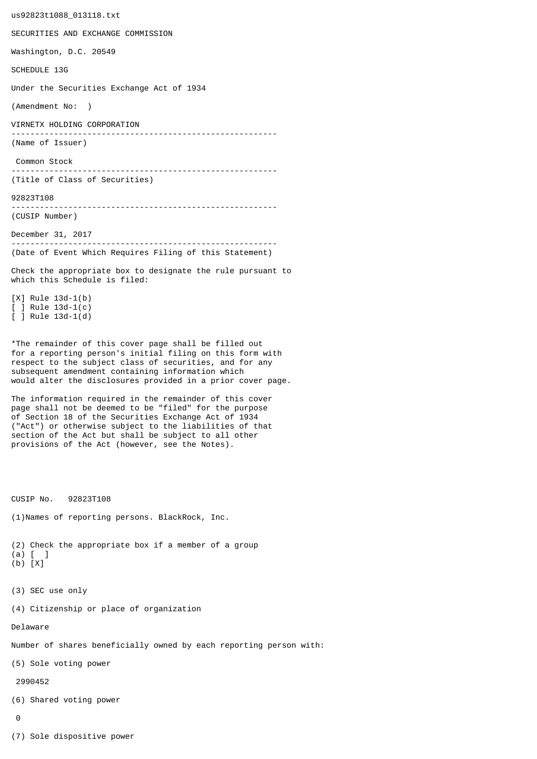us92823t1088\_013118.txt SECURITIES AND EXCHANGE COMMISSION Washington, D.C. 20549 SCHEDULE 13G Under the Securities Exchange Act of 1934 (Amendment No: ) VIRNETX HOLDING CORPORATION -------------------------------------------------------- (Name of Issuer) Common Stock -------------------------------------------------------- (Title of Class of Securities) 92823T108 -------------------------------------------------------- (CUSIP Number) December 31, 2017 -------------------------------------------------------- (Date of Event Which Requires Filing of this Statement) Check the appropriate box to designate the rule pursuant to which this Schedule is filed: [X] Rule 13d-1(b) [ ] Rule 13d-1(c) [ ] Rule 13d-1(d) \*The remainder of this cover page shall be filled out for a reporting person's initial filing on this form with respect to the subject class of securities, and for any subsequent amendment containing information which would alter the disclosures provided in a prior cover page. The information required in the remainder of this cover page shall not be deemed to be "filed" for the purpose of Section 18 of the Securities Exchange Act of 1934 ("Act") or otherwise subject to the liabilities of that section of the Act but shall be subject to all other provisions of the Act (however, see the Notes). CUSIP No. 92823T108 (1)Names of reporting persons. BlackRock, Inc. (2) Check the appropriate box if a member of a group (a) [ ] (b) [X] (3) SEC use only (4) Citizenship or place of organization Delaware Number of shares beneficially owned by each reporting person with: (5) Sole voting power 2990452 (6) Shared voting power

 $\Omega$ 

(7) Sole dispositive power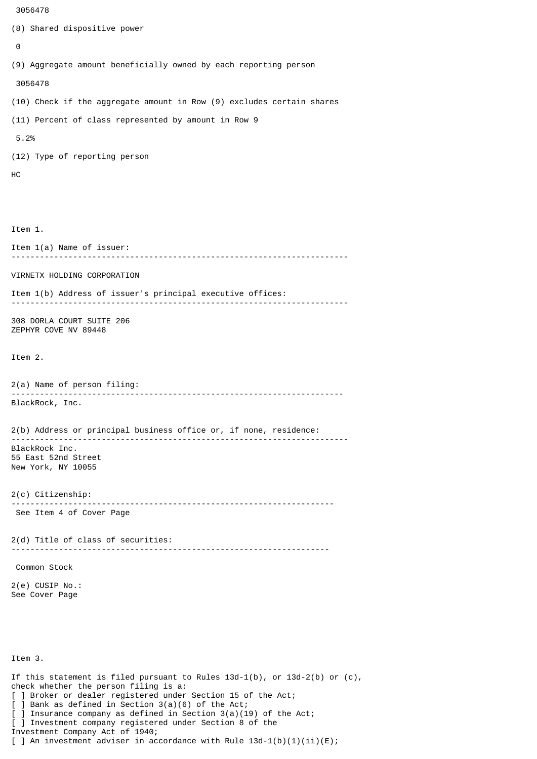```
 3056478
(8) Shared dispositive power
 \Omega(9) Aggregate amount beneficially owned by each reporting person
  3056478
(10) Check if the aggregate amount in Row (9) excludes certain shares
(11) Percent of class represented by amount in Row 9
  5.2%
(12) Type of reporting person
HC
Item 1.
Item 1(a) Name of issuer:
                                -----------------------------------------------------------------------
VIRNETX HOLDING CORPORATION
Item 1(b) Address of issuer's principal executive offices:
-----------------------------------------------------------------------
308 DORLA COURT SUITE 206
ZEPHYR COVE NV 89448
Item 2.
2(a) Name of person filing:
               ----------------------------------------------------------------------
BlackRock, Inc.
2(b) Address or principal business office or, if none, residence:
-----------------------------------------------------------------------
BlackRock Inc.
55 East 52nd Street
New York, NY 10055
2(c) Citizenship:
                            --------------------------------------------------------------------
 See Item 4 of Cover Page
2(d) Title of class of securities:
                                      -------------------------------------------------------------------
  Common Stock
2(e) CUSIP No.:
See Cover Page
Item 3.
If this statement is filed pursuant to Rules 13d-1(b), or 13d-2(b) or (c),
check whether the person filing is a:
[ ] Broker or dealer registered under Section 15 of the Act;
```
[ ] Bank as defined in Section 3(a)(6) of the Act;

[ ] Insurance company as defined in Section 3(a)(19) of the Act; [ ] Investment company registered under Section 8 of the

Investment Company Act of 1940;

[ ] An investment adviser in accordance with Rule  $13d-1(b)(1)(ii)(E)$ ;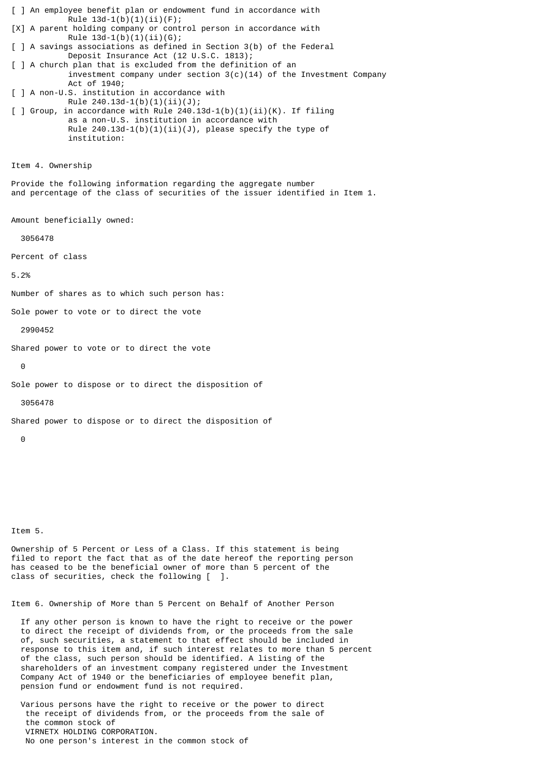[ ] An employee benefit plan or endowment fund in accordance with Rule  $13d-1(b)(1)(ii)(F);$ [X] A parent holding company or control person in accordance with Rule  $13d-1(b)(1)(ii)(G);$ [ ] A savings associations as defined in Section 3(b) of the Federal Deposit Insurance Act (12 U.S.C. 1813); [ ] A church plan that is excluded from the definition of an investment company under section  $3(c)(14)$  of the Investment Company Act of 1940; [ ] A non-U.S. institution in accordance with Rule  $240.13d-1(b)(1)(ii)(J);$  $[$  ] Group, in accordance with Rule 240.13d-1(b)(1)(ii)(K). If filing as a non-U.S. institution in accordance with Rule  $240.13d-1(b)(1)(ii)(J)$ , please specify the type of institution: Item 4. Ownership Provide the following information regarding the aggregate number and percentage of the class of securities of the issuer identified in Item 1. Amount beneficially owned: 3056478 Percent of class 5.2% Number of shares as to which such person has: Sole power to vote or to direct the vote 2990452 Shared power to vote or to direct the vote  $\Theta$ Sole power to dispose or to direct the disposition of 3056478 Shared power to dispose or to direct the disposition of  $\Omega$ Item 5.

Ownership of 5 Percent or Less of a Class. If this statement is being filed to report the fact that as of the date hereof the reporting person has ceased to be the beneficial owner of more than 5 percent of the class of securities, check the following [ ].

Item 6. Ownership of More than 5 Percent on Behalf of Another Person

 If any other person is known to have the right to receive or the power to direct the receipt of dividends from, or the proceeds from the sale of, such securities, a statement to that effect should be included in response to this item and, if such interest relates to more than 5 percent of the class, such person should be identified. A listing of the shareholders of an investment company registered under the Investment Company Act of 1940 or the beneficiaries of employee benefit plan, pension fund or endowment fund is not required.

 Various persons have the right to receive or the power to direct the receipt of dividends from, or the proceeds from the sale of the common stock of VIRNETX HOLDING CORPORATION. No one person's interest in the common stock of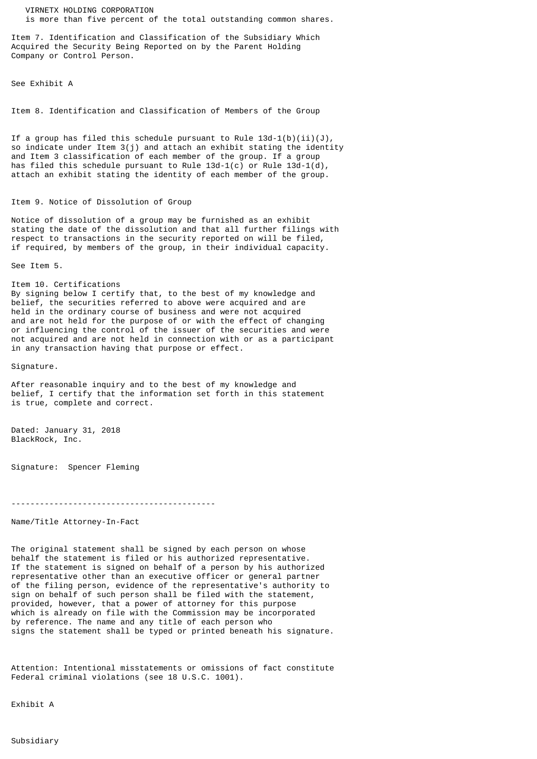VIRNETX HOLDING CORPORATION is more than five percent of the total outstanding common shares.

Item 7. Identification and Classification of the Subsidiary Which Acquired the Security Being Reported on by the Parent Holding Company or Control Person.

See Exhibit A

Item 8. Identification and Classification of Members of the Group

If a group has filed this schedule pursuant to Rule  $13d-1(b)(ii)(J)$ , so indicate under Item 3(j) and attach an exhibit stating the identity and Item 3 classification of each member of the group. If a group has filed this schedule pursuant to Rule  $13d-1(c)$  or Rule  $13d-1(d)$ , attach an exhibit stating the identity of each member of the group.

## Item 9. Notice of Dissolution of Group

Notice of dissolution of a group may be furnished as an exhibit stating the date of the dissolution and that all further filings with respect to transactions in the security reported on will be filed, if required, by members of the group, in their individual capacity.

See Item 5.

Item 10. Certifications By signing below I certify that, to the best of my knowledge and belief, the securities referred to above were acquired and are held in the ordinary course of business and were not acquired and are not held for the purpose of or with the effect of changing or influencing the control of the issuer of the securities and were not acquired and are not held in connection with or as a participant in any transaction having that purpose or effect.

Signature.

After reasonable inquiry and to the best of my knowledge and belief, I certify that the information set forth in this statement is true, complete and correct.

Dated: January 31, 2018 BlackRock, Inc.

Signature: Spencer Fleming

-------------------------------------------

Name/Title Attorney-In-Fact

The original statement shall be signed by each person on whose behalf the statement is filed or his authorized representative. If the statement is signed on behalf of a person by his authorized representative other than an executive officer or general partner of the filing person, evidence of the representative's authority to sign on behalf of such person shall be filed with the statement, provided, however, that a power of attorney for this purpose which is already on file with the Commission may be incorporated by reference. The name and any title of each person who signs the statement shall be typed or printed beneath his signature.

Attention: Intentional misstatements or omissions of fact constitute Federal criminal violations (see 18 U.S.C. 1001).

Exhibit A